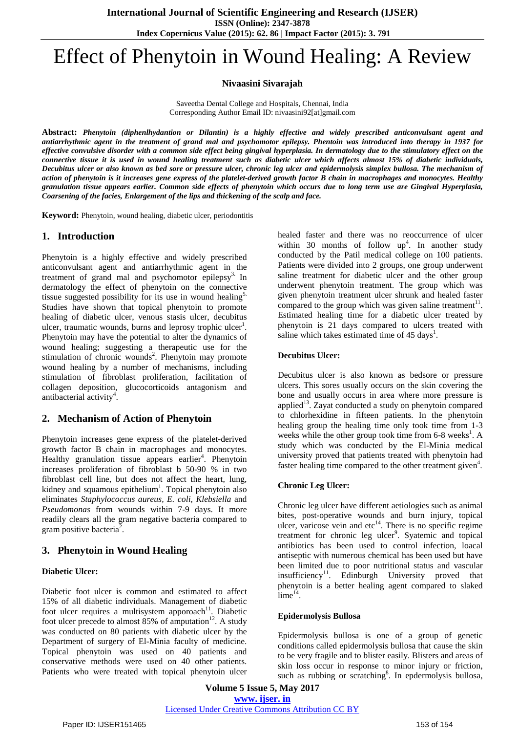# Effect of Phenytoin in Wound Healing: A Review

**Nivaasini Sivarajah**

Saveetha Dental College and Hospitals, Chennai, India Corresponding Author Email ID: nivaasini92[at]gmail.com

**Abstract:** *Phenytoin (diphenlhydantion or Dilantin) is a highly effective and widely prescribed anticonvulsant agent and* antiarrhythmic agent in the treatment of grand mal and psychomotor epilepsy. Phentoin was introduced into therapy in 1937 for effective convulsive disorder with a common side effect being gingival hyperplasia. In dermatology due to the stimulatory effect on the connective tissue it is used in wound healing treatment such as diabetic ulcer which affects almost 15% of diabetic individuals, Decubitus ulcer or also known as bed sore or pressure ulcer, chronic leg ulcer and epidermolysis simplex bullosa. The mechanism of action of phenytoin is it increases gene express of the platelet-derived growth factor B chain in macrophages and monocytes. Healthy granulation tissue appears earlier. Common side effects of phenytoin which occurs due to long term use are Gingival Hyperplasia, *Coarsening of the facies, Enlargement of the lips and thickening of the scalp and face.* 

**Keyword:** Phenytoin, wound healing, diabetic ulcer, periodontitis

## **1. Introduction**

Phenytoin is a highly effective and widely prescribed anticonvulsant agent and antiarrhythmic agent in the treatment of grand mal and psychomotor epilepsy<sup>3.</sup> In dermatology the effect of phenytoin on the connective tissue suggested possibility for its use in wound healing $5$ . Studies have shown that topical phenytoin to promote healing of diabetic ulcer, venous stasis ulcer, decubitus ulcer, traumatic wounds, burns and leprosy trophic ulcer<sup>1</sup>. Phenytoin may have the potential to alter the dynamics of wound healing; suggesting a therapeutic use for the stimulation of chronic wounds<sup>2</sup>. Phenytoin may promote wound healing by a number of mechanisms, including stimulation of fibroblast proliferation, facilitation of collagen deposition, glucocorticoids antagonism and antibacterial activity<sup>4</sup>.

## **2. Mechanism of Action of Phenytoin**

Phenytoin increases gene express of the platelet-derived growth factor B chain in macrophages and monocytes. Healthy granulation tissue appears earlier<sup>4</sup>. Phenytoin increases proliferation of fibroblast b 50-90 % in two fibroblast cell line, but does not affect the heart, lung, kidney and squamous epithelium<sup>1</sup>. Topical phenytoin also eliminates *Staphylococcus aureus, E. coli, Klebsiella* and *Pseudomonas* from wounds within 7-9 days. It more readily clears all the gram negative bacteria compared to gram positive bacteria<sup>2</sup>.

# **3. Phenytoin in Wound Healing**

#### **Diabetic Ulcer:**

Diabetic foot ulcer is common and estimated to affect 15% of all diabetic individuals. Management of diabetic foot ulcer requires a multisystem apporoach $11$ . Diabetic foot ulcer precede to almost  $85%$  of amputation<sup>12</sup>. A study was conducted on 80 patients with diabetic ulcer by the Department of surgery of El-Minia faculty of medicine. Topical phenytoin was used on 40 patients and conservative methods were used on 40 other patients. Patients who were treated with topical phenytoin ulcer healed faster and there was no reoccurrence of ulcer within 30 months of follow  $up^4$ . In another study conducted by the Patil medical college on 100 patients. Patients were divided into 2 groups, one group underwent saline treatment for diabetic ulcer and the other group underwent phenytoin treatment. The group which was given phenytoin treatment ulcer shrunk and healed faster compared to the group which was given saline treatment $11$ . Estimated healing time for a diabetic ulcer treated by phenytoin is 21 days compared to ulcers treated with saline which takes estimated time of 45 days<sup>1</sup>.

#### **Decubitus Ulcer:**

Decubitus ulcer is also known as bedsore or pressure ulcers. This sores usually occurs on the skin covering the bone and usually occurs in area where more pressure is applied $13$ . Zayat conducted a study on phenytoin compared to chlorhexidine in fifteen patients. In the phenytoin healing group the healing time only took time from 1-3 weeks while the other group took time from 6-8 weeks<sup>1</sup>. A study which was conducted by the El-Minia medical university proved that patients treated with phenytoin had faster healing time compared to the other treatment given<sup>4</sup>.

#### **Chronic Leg Ulcer:**

Chronic leg ulcer have different aetiologies such as animal bites, post-operative wounds and burn injury, topical ulcer, varicose vein and etc $^{14}$ . There is no specific regime treatment for chronic leg ulcer<sup>9</sup>. Syatemic and topical antibiotics has been used to control infection, loacal antiseptic with numerous chemical has been used but have been limited due to poor nutritional status and vascular insufficiency<sup>11</sup>. Edinburgh University proved that phenytoin is a better healing agent compared to slaked  $\lim_{1}e^{14}$ .

#### **Epidermolysis Bullosa**

Epidermolysis bullosa is one of a group of genetic conditions called epidermolysis bullosa that cause the skin to be very fragile and to blister easily. Blisters and areas of skin loss occur in response to minor injury or friction, such as rubbing or scratching<sup>8</sup>. In epdermolysis bullosa,

**Volume 5 Issue 5, May 2017 www. ijser. in** Licensed Under Creative Commons Attribution CC BY